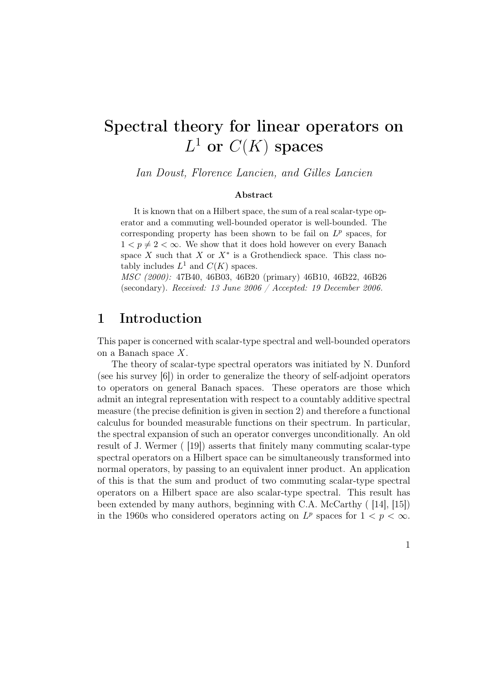# Spectral theory for linear operators on  $L^1$  or  $C(K)$  spaces

*Ian Doust, Florence Lancien, and Gilles Lancien*

#### Abstract

It is known that on a Hilbert space, the sum of a real scalar-type operator and a commuting well-bounded operator is well-bounded. The corresponding property has been shown to be fail on  $L^p$  spaces, for  $1 < p \neq 2 < \infty$ . We show that it does hold however on every Banach space *X* such that *X* or  $X^*$  is a Grothendieck space. This class notably includes  $L^1$  and  $C(K)$  spaces.

*MSC (2000):* 47B40, 46B03, 46B20 (primary) 46B10, 46B22, 46B26 (secondary). *Received: 13 June 2006 / Accepted: 19 December 2006.*

### 1 Introduction

This paper is concerned with scalar-type spectral and well-bounded operators on a Banach space X.

The theory of scalar-type spectral operators was initiated by N. Dunford (see his survey [6]) in order to generalize the theory of self-adjoint operators to operators on general Banach spaces. These operators are those which admit an integral representation with respect to a countably additive spectral measure (the precise definition is given in section 2) and therefore a functional calculus for bounded measurable functions on their spectrum. In particular, the spectral expansion of such an operator converges unconditionally. An old result of J. Wermer ( [19]) asserts that finitely many commuting scalar-type spectral operators on a Hilbert space can be simultaneously transformed into normal operators, by passing to an equivalent inner product. An application of this is that the sum and product of two commuting scalar-type spectral operators on a Hilbert space are also scalar-type spectral. This result has been extended by many authors, beginning with C.A. McCarthy ( [14], [15]) in the 1960s who considered operators acting on  $L^p$  spaces for  $1 < p < \infty$ .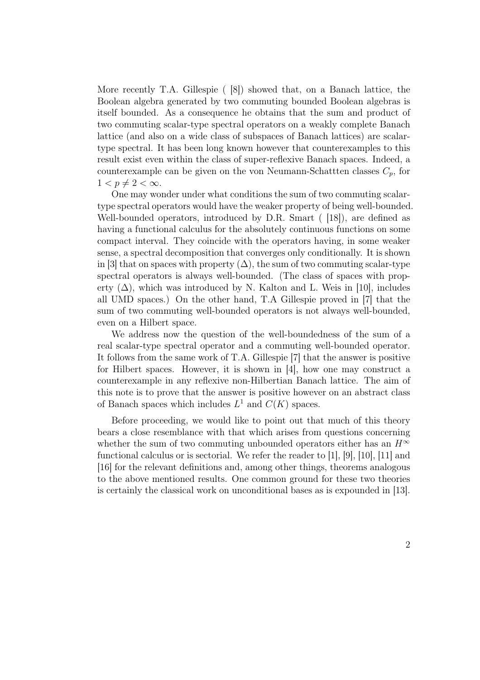More recently T.A. Gillespie ( [8]) showed that, on a Banach lattice, the Boolean algebra generated by two commuting bounded Boolean algebras is itself bounded. As a consequence he obtains that the sum and product of two commuting scalar-type spectral operators on a weakly complete Banach lattice (and also on a wide class of subspaces of Banach lattices) are scalartype spectral. It has been long known however that counterexamples to this result exist even within the class of super-reflexive Banach spaces. Indeed, a counterexample can be given on the von Neumann-Schattten classes  $C_p$ , for  $1 < p \neq 2 < \infty$ .

One may wonder under what conditions the sum of two commuting scalartype spectral operators would have the weaker property of being well-bounded. Well-bounded operators, introduced by D.R. Smart ( [18]), are defined as having a functional calculus for the absolutely continuous functions on some compact interval. They coincide with the operators having, in some weaker sense, a spectral decomposition that converges only conditionally. It is shown in [3] that on spaces with property  $(\Delta)$ , the sum of two commuting scalar-type spectral operators is always well-bounded. (The class of spaces with property  $(\Delta)$ , which was introduced by N. Kalton and L. Weis in [10], includes all UMD spaces.) On the other hand, T.A Gillespie proved in [7] that the sum of two commuting well-bounded operators is not always well-bounded, even on a Hilbert space.

We address now the question of the well-boundedness of the sum of a real scalar-type spectral operator and a commuting well-bounded operator. It follows from the same work of T.A. Gillespie [7] that the answer is positive for Hilbert spaces. However, it is shown in [4], how one may construct a counterexample in any reflexive non-Hilbertian Banach lattice. The aim of this note is to prove that the answer is positive however on an abstract class of Banach spaces which includes  $L^1$  and  $C(K)$  spaces.

Before proceeding, we would like to point out that much of this theory bears a close resemblance with that which arises from questions concerning whether the sum of two commuting unbounded operators either has an  $H^{\infty}$ functional calculus or is sectorial. We refer the reader to [1], [9], [10], [11] and [16] for the relevant definitions and, among other things, theorems analogous to the above mentioned results. One common ground for these two theories is certainly the classical work on unconditional bases as is expounded in [13].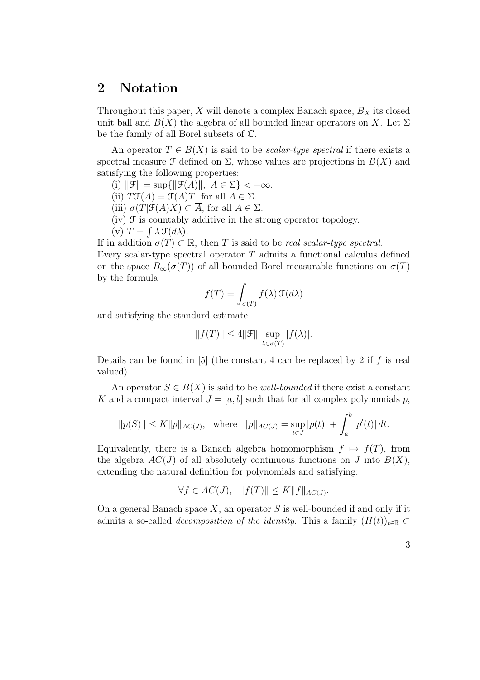### 2 Notation

Throughout this paper,  $X$  will denote a complex Banach space,  $B_X$  its closed unit ball and  $B(X)$  the algebra of all bounded linear operators on X. Let  $\Sigma$ be the family of all Borel subsets of C.

An operator  $T \in B(X)$  is said to be *scalar-type spectral* if there exists a spectral measure  $\mathcal F$  defined on  $\Sigma$ , whose values are projections in  $B(X)$  and satisfying the following properties:

- (i)  $\|\mathcal{F}\| = \sup\{\|\mathcal{F}(A)\|, A \in \Sigma\} < +\infty.$
- (ii)  $T\mathcal{F}(A) = \mathcal{F}(A)T$ , for all  $A \in \Sigma$ .
- (iii)  $\sigma(T|\mathcal{F}(A)X) \subset \overline{A}$ , for all  $A \in \Sigma$ .
- $(iv)$   $\mathcal F$  is countably additive in the strong operator topology.
- (v)  $T = \int \lambda \mathcal{F}(d\lambda)$ .

If in addition  $\sigma(T) \subset \mathbb{R}$ , then T is said to be *real scalar-type spectral*. Every scalar-type spectral operator  $T$  admits a functional calculus defined on the space  $B_{\infty}(\sigma(T))$  of all bounded Borel measurable functions on  $\sigma(T)$ by the formula

$$
f(T) = \int_{\sigma(T)} f(\lambda) \, \mathcal{F}(d\lambda)
$$

and satisfying the standard estimate

$$
||f(T)|| \le 4||\mathcal{F}|| \sup_{\lambda \in \sigma(T)} |f(\lambda)|.
$$

Details can be found in [5] (the constant 4 can be replaced by 2 if  $f$  is real valued).

An operator  $S \in B(X)$  is said to be *well-bounded* if there exist a constant K and a compact interval  $J = [a, b]$  such that for all complex polynomials p,

$$
||p(S)|| \le K||p||_{AC(J)},
$$
 where  $||p||_{AC(J)} = \sup_{t \in J} |p(t)| + \int_a^b |p'(t)| dt.$ 

Equivalently, there is a Banach algebra homomorphism  $f \mapsto f(T)$ , from the algebra  $AC(J)$  of all absolutely continuous functions on J into  $B(X)$ , extending the natural definition for polynomials and satisfying:

$$
\forall f \in AC(J), \quad ||f(T)|| \le K ||f||_{AC(J)}.
$$

On a general Banach space  $X$ , an operator S is well-bounded if and only if it admits a so-called *decomposition* of the *identity*. This a family  $(H(t))_{t\in\mathbb{R}}$ 

3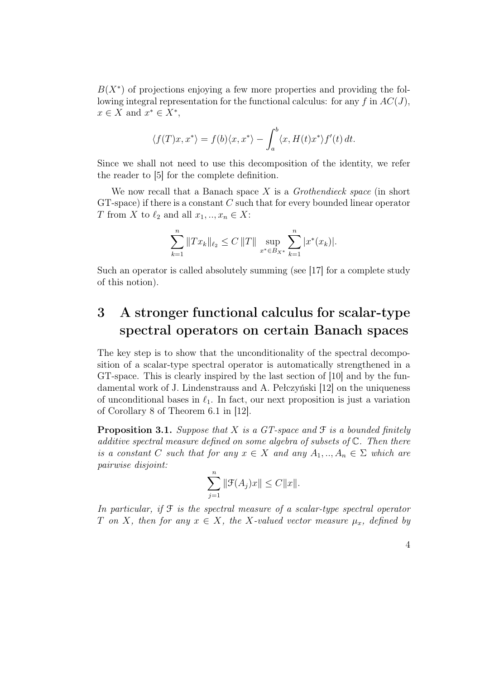$B(X^*)$  of projections enjoying a few more properties and providing the following integral representation for the functional calculus: for any  $f$  in  $AC(J)$ ,  $x \in X$  and  $x^* \in X^*$ ,

$$
\langle f(T)x, x^* \rangle = f(b)\langle x, x^* \rangle - \int_a^b \langle x, H(t)x^* \rangle f'(t) dt.
$$

Since we shall not need to use this decomposition of the identity, we refer the reader to [5] for the complete definition.

We now recall that a Banach space X is a *Grothendieck space* (in short  $GT$ -space) if there is a constant  $C$  such that for every bounded linear operator T from X to  $\ell_2$  and all  $x_1, \ldots, x_n \in X$ :

$$
\sum_{k=1}^{n} \|Tx_k\|_{\ell_2} \le C \|T\| \sup_{x^* \in B_{X^*}} \sum_{k=1}^{n} |x^*(x_k)|.
$$

Such an operator is called absolutely summing (see [17] for a complete study of this notion).

# 3 A stronger functional calculus for scalar-type spectral operators on certain Banach spaces

The key step is to show that the unconditionality of the spectral decomposition of a scalar-type spectral operator is automatically strengthened in a GT-space. This is clearly inspired by the last section of [10] and by the fundamental work of J. Lindenstrauss and A. Pełczyński [12] on the uniqueness of unconditional bases in  $\ell_1$ . In fact, our next proposition is just a variation of Corollary 8 of Theorem 6.1 in [12].

Proposition 3.1. *Suppose that* X *is a GT-space and* F *is a bounded finitely additive spectral measure defined on some algebra of subsets of* C*. Then there is a constant* C *such that for any*  $x \in X$  *and any*  $A_1, ..., A_n \in \Sigma$  *which are pairwise disjoint:*

$$
\sum_{j=1}^n \|\mathcal{F}(A_j)x\| \le C \|x\|.
$$

*In particular, if* F *is the spectral measure of a scalar-type spectral operator* T *on* X, then for any  $x \in X$ , the X-valued vector measure  $\mu_x$ , defined by

4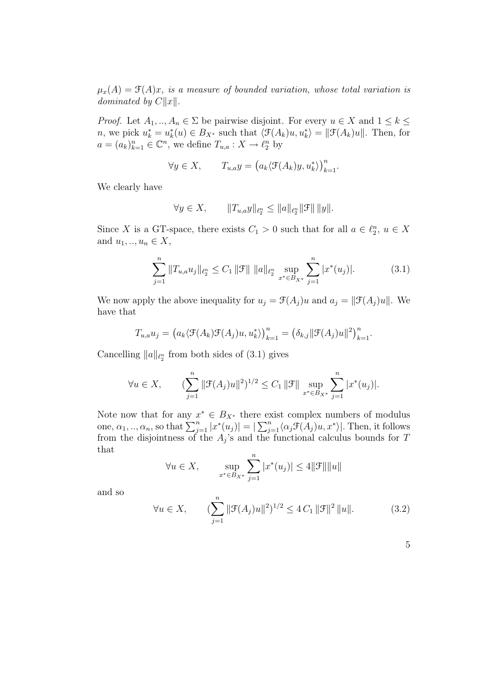$\mu_x(A) = \mathcal{F}(A)x$ , *is a measure of bounded variation, whose total variation is dominated by*  $C||x|$ *.* 

*Proof.* Let  $A_1, ..., A_n \in \Sigma$  be pairwise disjoint. For every  $u \in X$  and  $1 \leq k \leq$ n, we pick  $u_k^* = u_k^*(u) \in B_{X^*}$  such that  $\langle \mathcal{F}(A_k)u, u_k^* \rangle = ||\mathcal{F}(A_k)u||$ . Then, for  $a = (a_k)_{k=1}^n \in \mathbb{C}^n$ , we define  $T_{u,a}: X \to \ell_2^n$  by

$$
\forall y \in X, \qquad T_{u,a}y = \left(a_k \langle \mathcal{F}(A_k)y, u_k^* \rangle\right)_{k=1}^n.
$$

We clearly have

$$
\forall y \in X, \qquad \|T_{u,a}y\|_{\ell_2^n} \le \|a\|_{\ell_2^n} \|\mathcal{F}\| \, \|y\|.
$$

Since X is a GT-space, there exists  $C_1 > 0$  such that for all  $a \in \ell_2^n$ ,  $u \in X$ and  $u_1, ..., u_n \in X$ ,

$$
\sum_{j=1}^{n} \|T_{u,a}u_j\|_{\ell_2^n} \le C_1 \|\mathcal{F}\| \|a\|_{\ell_2^n} \sup_{x^* \in B_{X^*}} \sum_{j=1}^{n} |x^*(u_j)|. \tag{3.1}
$$

We now apply the above inequality for  $u_j = \mathcal{F}(A_j)u$  and  $a_j = ||\mathcal{F}(A_j)u||$ . We have that

$$
T_{u,a}u_j = (a_k \langle \mathcal{F}(A_k)\mathcal{F}(A_j)u, u_k^* \rangle)_{k=1}^n = (\delta_{k,j} ||\mathcal{F}(A_j)u||^2)_{k=1}^n.
$$

Cancelling  $||a||_{\ell_2^n}$  from both sides of (3.1) gives

$$
\forall u \in X, \qquad (\sum_{j=1}^n \|\mathcal{F}(A_j)u\|^2)^{1/2} \le C_1 \|\mathcal{F}\| \sup_{x^* \in B_{X^*}} \sum_{j=1}^n |x^*(u_j)|.
$$

Note now that for any  $x^* \in B_{X^*}$  there exist complex numbers of modulus one,  $\alpha_1, ..., \alpha_n$ , so that  $\sum_{j=1}^n |x^*(u_j)| = |\sum_{j=1}^n \langle \alpha_j \mathcal{F}(A_j)u, x^* \rangle|$ . Then, it follows from the disjointness of the  $A_j$ 's and the functional calculus bounds for T that

$$
\forall u \in X, \qquad \sup_{x^* \in B_{X^*}} \sum_{j=1}^n |x^*(u_j)| \le 4 ||\mathcal{F}|| ||u||
$$

and so

$$
\forall u \in X, \qquad (\sum_{j=1}^{n} \|\mathcal{F}(A_j)u\|^2)^{1/2} \le 4C_1 \|\mathcal{F}\|^2 \|u\|.
$$
 (3.2)

|        | o and | ۰.<br>۰,          |
|--------|-------|-------------------|
| ٠<br>I | ٠     |                   |
|        |       |                   |
|        | . .   | I<br>I<br>I<br>۰, |
|        |       |                   |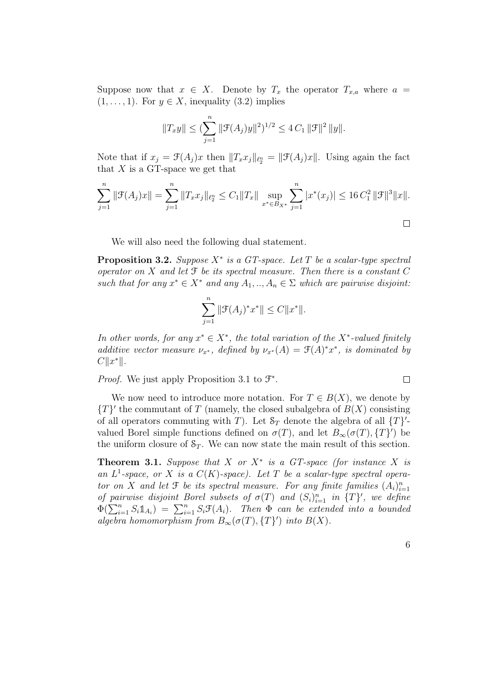Suppose now that  $x \in X$ . Denote by  $T_x$  the operator  $T_{x,a}$  where  $a =$  $(1, \ldots, 1)$ . For  $y \in X$ , inequality  $(3.2)$  implies

$$
||T_xy|| \leq (\sum_{j=1}^n ||\mathcal{F}(A_j)y||^2)^{1/2} \leq 4 C_1 ||\mathcal{F}||^2 ||y||.
$$

Note that if  $x_j = \mathcal{F}(A_j)x$  then  $||T_x x_j||_{\ell_2^n} = ||\mathcal{F}(A_j)x||$ . Using again the fact that  $X$  is a GT-space we get that

$$
\sum_{j=1}^{n} \|\mathcal{F}(A_j)x\| = \sum_{j=1}^{n} \|T_x x_j\|_{\ell_2^n} \le C_1 \|T_x\| \sup_{x^* \in B_{X^*}} \sum_{j=1}^{n} |x^*(x_j)| \le 16 C_1^2 \|\mathcal{F}\|^3 \|x\|.
$$

We will also need the following dual statement.

**Proposition 3.2.** *Suppose*  $X^*$  *is* a GT-space. Let T be a scalar-type spectral *operator on* X *and let* F *be its spectral measure. Then there is a constant* C *such that for any*  $x^* \in X^*$  *and any*  $A_1, ..., A_n \in \Sigma$  *which are pairwise disjoint:* 

$$
\sum_{j=1}^{n} \|\mathcal{F}(A_j)^* x^*\| \le C \|x^*\|.
$$

*In other words, for any*  $x^* \in X^*$ *, the total variation of the*  $X^*$ -valued *finitely additive vector measure*  $\nu_{x^*}$ *, defined by*  $\nu_{x^*}(A) = \mathcal{F}(A)^*x^*$ *, is dominated by*  $C||x^*||.$ 

*Proof.* We just apply Proposition 3.1 to  $\mathcal{F}^*$ .

We now need to introduce more notation. For  $T \in B(X)$ , we denote by  $\{T\}'$  the commutant of T (namely, the closed subalgebra of  $B(X)$  consisting of all operators commuting with T). Let  $S_T$  denote the algebra of all  $\{T\}'$ valued Borel simple functions defined on  $\sigma(T)$ , and let  $B_{\infty}(\sigma(T), \{T\}')$  be the uniform closure of  $S_T$ . We can now state the main result of this section.

**Theorem 3.1.** Suppose that X or  $X^*$  is a GT-space (for instance X is an  $L^1$ -space, or X is a  $C(K)$ -space). Let T be a scalar-type spectral opera*tor on X and let* **f** *be its spectral* measure. For any finite families  $(A_i)_{i=1}^n$ *of pairwise disjoint Borel subsets of*  $\sigma(T)$  *and*  $(S_i)_{i=1}^n$  *in*  $\{T\}'$ *, we define*  $\Phi(\sum_{i=1}^n S_i \mathbb{1}_{A_i}) = \sum_{i=1}^n S_i \mathfrak{F}(A_i)$ . Then  $\Phi$  can be extended into a bounded *algebra homomorphism from*  $B_{\infty}(\sigma(T), \{T\}')$  *into*  $B(X)$ *.* 

6

 $\Box$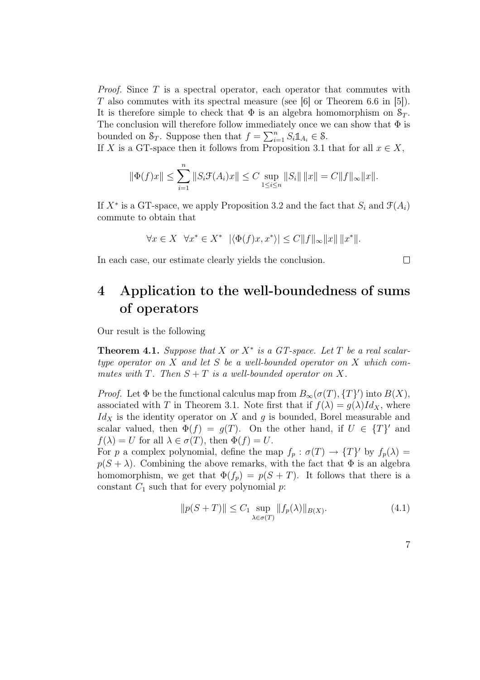*Proof.* Since T is a spectral operator, each operator that commutes with T also commutes with its spectral measure (see [6] or Theorem 6.6 in [5]). It is therefore simple to check that  $\Phi$  is an algebra homomorphism on  $S_T$ . The conclusion will therefore follow immediately once we can show that  $\Phi$  is bounded on  $S_T$ . Suppose then that  $f = \sum_{i=1}^n S_i \mathbb{1}_{A_i} \in \mathcal{S}$ .

If X is a GT-space then it follows from Proposition 3.1 that for all  $x \in X$ ,

$$
\|\Phi(f)x\| \le \sum_{i=1}^n \|S_i \mathcal{F}(A_i)x\| \le C \sup_{1 \le i \le n} \|S_i\| \|x\| = C \|f\|_{\infty} \|x\|.
$$

If  $X^*$  is a GT-space, we apply Proposition 3.2 and the fact that  $S_i$  and  $\mathcal{F}(A_i)$ commute to obtain that

$$
\forall x \in X \ \ \forall x^* \in X^* \ \ |\langle \Phi(f)x, x^* \rangle| \le C \|f\|_{\infty} \|x\| \ \|x^*\|.
$$

In each case, our estimate clearly yields the conclusion.

# 4 Application to the well-boundedness of sums of operators

Our result is the following

**Theorem 4.1.** Suppose that X or  $X^*$  is a GT-space. Let T be a real scalar*type operator on* X *and let* S *be a well-bounded operator on* X *which commutes* with  $T$ *. Then*  $S + T$  *is a well-bounded operator on*  $X$ *.* 

*Proof.* Let  $\Phi$  be the functional calculus map from  $B_{\infty}(\sigma(T), \{T\})$  into  $B(X)$ , associated with T in Theorem 3.1. Note first that if  $f(\lambda) = g(\lambda)Id_X$ , where  $Id_X$  is the identity operator on X and g is bounded, Borel measurable and scalar valued, then  $\Phi(f) = q(T)$ . On the other hand, if  $U \in \{T\}'$  and  $f(\lambda) = U$  for all  $\lambda \in \sigma(T)$ , then  $\Phi(f) = U$ .

For p a complex polynomial, define the map  $f_p : \sigma(T) \to \{T\}'$  by  $f_p(\lambda) =$  $p(S + \lambda)$ . Combining the above remarks, with the fact that  $\Phi$  is an algebra homomorphism, we get that  $\Phi(f_p) = p(S + T)$ . It follows that there is a constant  $C_1$  such that for every polynomial  $p$ :

$$
||p(S+T)|| \le C_1 \sup_{\lambda \in \sigma(T)} ||f_p(\lambda)||_{B(X)}.
$$
\n(4.1)

7

 $\Box$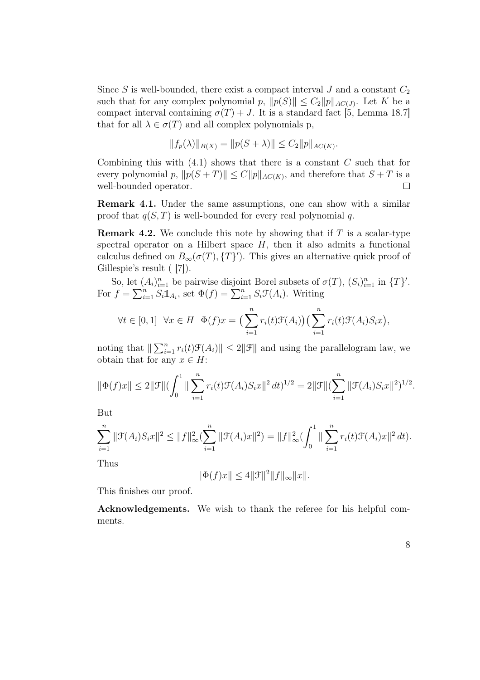Since S is well-bounded, there exist a compact interval  $J$  and a constant  $C_2$ such that for any complex polynomial p,  $||p(S)|| \leq C_2 ||p||_{AC(J)}$ . Let K be a compact interval containing  $\sigma(T) + J$ . It is a standard fact [5, Lemma 18.7] that for all  $\lambda \in \sigma(T)$  and all complex polynomials p,

$$
||f_p(\lambda)||_{B(X)} = ||p(S+\lambda)|| \le C_2 ||p||_{AC(K)}.
$$

Combining this with  $(4.1)$  shows that there is a constant C such that for every polynomial p,  $||p(S + T)|| \le C ||p||_{AC(K)}$ , and therefore that  $S + T$  is a well-bounded operator. well-bounded operator.

Remark 4.1. Under the same assumptions, one can show with a similar proof that  $q(S,T)$  is well-bounded for every real polynomial q.

**Remark 4.2.** We conclude this note by showing that if  $T$  is a scalar-type spectral operator on a Hilbert space  $H$ , then it also admits a functional calculus defined on  $B_{\infty}(\sigma(T), \{T\}')$ . This gives an alternative quick proof of Gillespie's result ( [7]).

So, let  $(A_i)_{i=1}^n$  be pairwise disjoint Borel subsets of  $\sigma(T)$ ,  $(S_i)_{i=1}^n$  in  $\{T\}'$ . For  $f = \sum_{i=1}^{n} S_i \mathbb{1}_{A_i}$ , set  $\Phi(f) = \sum_{i=1}^{n} S_i \mathcal{F}(A_i)$ . Writing

$$
\forall t \in [0,1] \ \forall x \in H \ \Phi(f)x = \left(\sum_{i=1}^n r_i(t)\mathcal{F}(A_i)\right)\left(\sum_{i=1}^n r_i(t)\mathcal{F}(A_i)S_i x\right),
$$

noting that  $\|\sum_{i=1}^n r_i(t)\mathcal{F}(A_i)\| \leq 2\|\mathcal{F}\|$  and using the parallelogram law, we obtain that for any  $x \in H$ :

$$
\|\Phi(f)x\| \le 2\|\mathcal{F}\| (\int_0^1 \|\sum_{i=1}^n r_i(t)\mathcal{F}(A_i)S_i x\|^2 dt)^{1/2} = 2\|\mathcal{F}\| (\sum_{i=1}^n \|\mathcal{F}(A_i)S_i x\|^2)^{1/2}.
$$

But

$$
\sum_{i=1}^{n} \|\mathcal{F}(A_i)S_i x\|^2 \le \|f\|_{\infty}^2 (\sum_{i=1}^{n} \|\mathcal{F}(A_i) x\|^2) = \|f\|_{\infty}^2 (\int_0^1 \|\sum_{i=1}^{n} r_i(t)\mathcal{F}(A_i) x\|^2 dt).
$$

Thus

$$
\|\Phi(f)x\|\leq 4\|\mathcal{F}\|^2\|f\|_\infty\|x\|.
$$

This finishes our proof.

Acknowledgements. We wish to thank the referee for his helpful comments.

8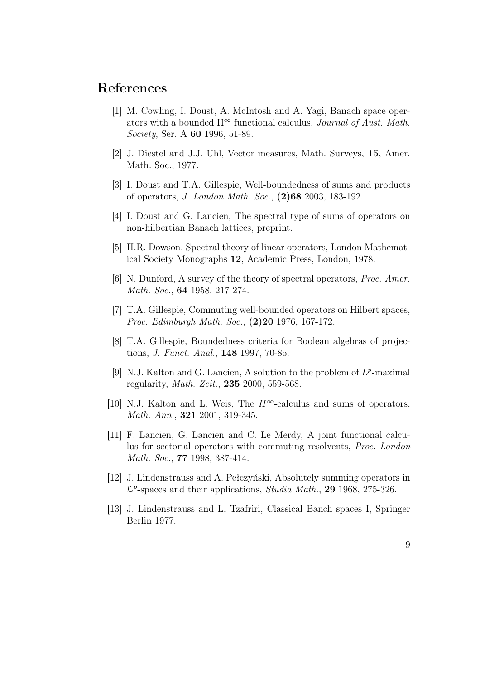#### References

- [1] M. Cowling, I. Doust, A. McIntosh and A. Yagi, Banach space operators with a bounded  $H^{\infty}$  functional calculus, *Journal of Aust. Math. Society*, Ser. A 60 1996, 51-89.
- [2] J. Diestel and J.J. Uhl, Vector measures, Math. Surveys, 15, Amer. Math. Soc., 1977.
- [3] I. Doust and T.A. Gillespie, Well-boundedness of sums and products of operators, *J. London Math. Soc.*, (2)68 2003, 183-192.
- [4] I. Doust and G. Lancien, The spectral type of sums of operators on non-hilbertian Banach lattices, preprint.
- [5] H.R. Dowson, Spectral theory of linear operators, London Mathematical Society Monographs 12, Academic Press, London, 1978.
- [6] N. Dunford, A survey of the theory of spectral operators, *Proc. Amer. Math. Soc.*, 64 1958, 217-274.
- [7] T.A. Gillespie, Commuting well-bounded operators on Hilbert spaces, *Proc. Edimburgh Math. Soc.*, (2)20 1976, 167-172.
- [8] T.A. Gillespie, Boundedness criteria for Boolean algebras of projections, *J. Funct. Anal.*, 148 1997, 70-85.
- [9] N.J. Kalton and G. Lancien, A solution to the problem of  $L^p$ -maximal regularity, *Math. Zeit.*, 235 2000, 559-568.
- [10] N.J. Kalton and L. Weis, The  $H^{\infty}$ -calculus and sums of operators, *Math. Ann.*, 321 2001, 319-345.
- [11] F. Lancien, G. Lancien and C. Le Merdy, A joint functional calculus for sectorial operators with commuting resolvents, *Proc. London Math. Soc.*, 77 1998, 387-414.
- [12] J. Lindenstrauss and A. Pełczyński, Absolutely summing operators in L<sup>p</sup>-spaces and their applications, *Studia Math.*, 29 1968, 275-326.
- [13] J. Lindenstrauss and L. Tzafriri, Classical Banch spaces I, Springer Berlin 1977.